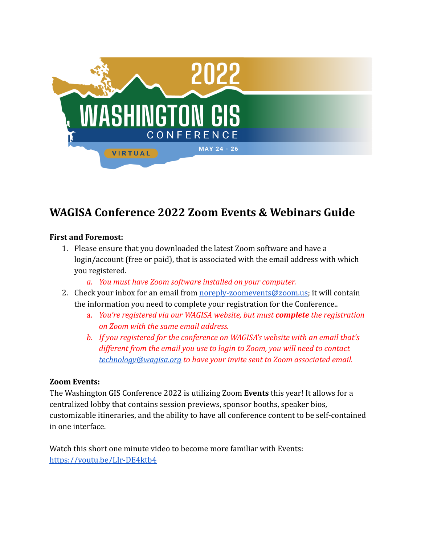

# **WAGISA Conference 2022 Zoom Events & Webinars Guide**

#### **First and Foremost:**

- 1. Please ensure that you downloaded the latest Zoom software and have a login/account (free or paid), that is associated with the email address with which you registered.
	- *a. You must have Zoom software installed on your computer.*
- 2. Check your inbox for an email from [noreply-zoomevents@zoom.us;](mailto:noreply-zoomevents@zoom.us) it will contain the information you need to complete your registration for the Conference..
	- a. *You're registered via our WAGISA website, but must complete the registration on Zoom with the same email address.*
	- *b. If you registered for the conference on WAGISA's website with an email that's different from the email you use to login to Zoom, you will need to contact [technology@wagisa.org](mailto:technology@wagisa.org) to have your invite sent to Zoom associated email.*

#### **Zoom Events:**

The Washington GIS Conference 2022 is utilizing Zoom **Events** this year! It allows for a centralized lobby that contains session previews, sponsor booths, speaker bios, customizable itineraries, and the ability to have all conference content to be self-contained in one interface.

Watch this short one minute video to become more familiar with Events: <https://youtu.be/LJr-DE4ktb4>